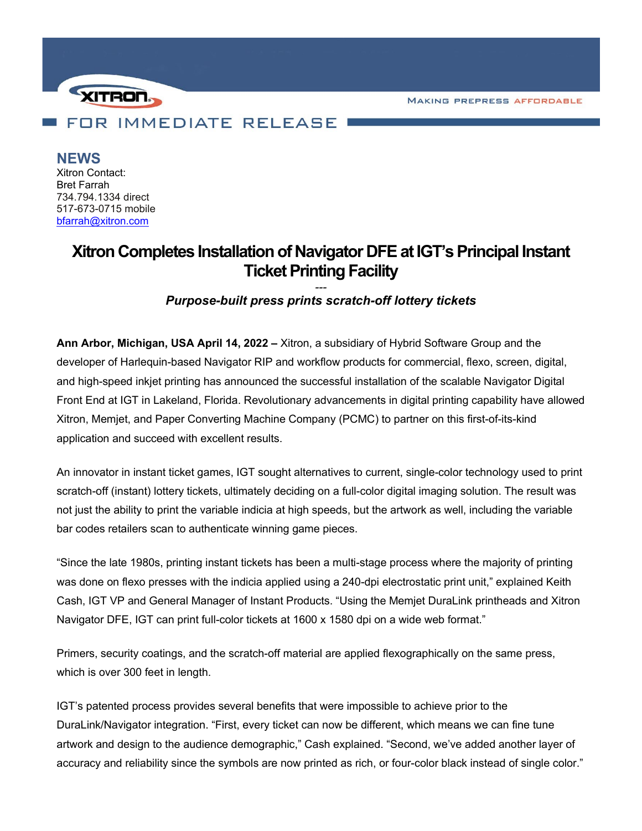**MAKING PREPRESS AFFORDABLE** 



**NEWS** Xitron Contact: Bret Farrah 734.794.1334 direct 517-673-0715 mobile [bfarrah@xitron.com](mailto:bfarrah@xitron.com)

## **Xitron Completes Installation of Navigator DFE at IGT's Principal Instant Ticket Printing Facility**

*--- Purpose-built press prints scratch-off lottery tickets*

**Ann Arbor, Michigan, USA April 14, 2022 –** Xitron, a subsidiary of Hybrid Software Group and the developer of Harlequin-based Navigator RIP and workflow products for commercial, flexo, screen, digital, and high-speed inkjet printing has announced the successful installation of the scalable Navigator Digital Front End at IGT in Lakeland, Florida. Revolutionary advancements in digital printing capability have allowed Xitron, Memjet, and Paper Converting Machine Company (PCMC) to partner on this first-of-its-kind application and succeed with excellent results.

An innovator in instant ticket games, IGT sought alternatives to current, single-color technology used to print scratch-off (instant) lottery tickets, ultimately deciding on a full-color digital imaging solution. The result was not just the ability to print the variable indicia at high speeds, but the artwork as well, including the variable bar codes retailers scan to authenticate winning game pieces.

"Since the late 1980s, printing instant tickets has been a multi-stage process where the majority of printing was done on flexo presses with the indicia applied using a 240-dpi electrostatic print unit," explained Keith Cash, IGT VP and General Manager of Instant Products. "Using the Memjet DuraLink printheads and Xitron Navigator DFE, IGT can print full-color tickets at 1600 x 1580 dpi on a wide web format."

Primers, security coatings, and the scratch-off material are applied flexographically on the same press, which is over 300 feet in length.

IGT's patented process provides several benefits that were impossible to achieve prior to the DuraLink/Navigator integration. "First, every ticket can now be different, which means we can fine tune artwork and design to the audience demographic," Cash explained. "Second, we've added another layer of accuracy and reliability since the symbols are now printed as rich, or four-color black instead of single color."